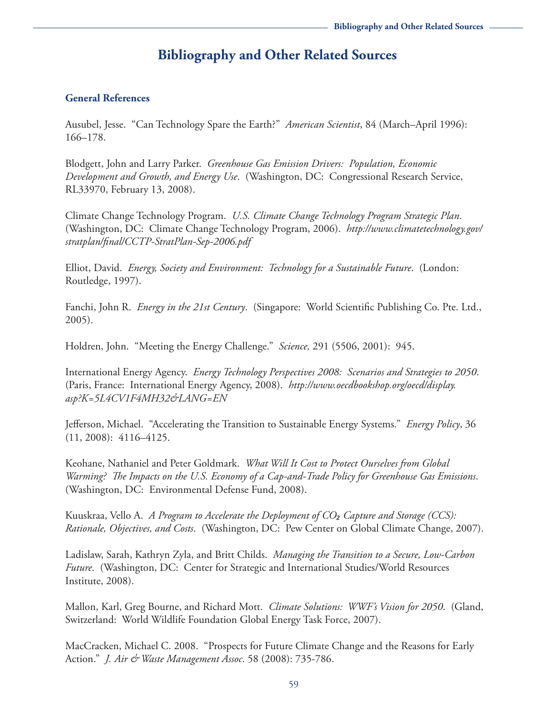# **Bibliography and Other Related Sources**

#### **General References**

Ausubel, Jesse. "Can Technology Spare the Earth?" *American Scientist*, 84 (March–April 1996): 166–178.

Blodgett, John and Larry Parker. *Greenhouse Gas Emission Drivers: Population, Economic Development and Growth, and Energy Use*. (Washington, DC: Congressional Research Service, RL33970, February 13, 2008).

Climate Change Technology Program. *U.S. Climate Change Technology Program Strategic Plan*. (Washington, DC: Climate Change Technology Program, 2006). *[http://www.climatetechnology.gov/](http://www.climatetechnology.gov/stratplan/final/CCTP-StratPlan-Sep-2006.pdf) [stratplan/final/CCTP-StratPlan-Sep-2006.pdf](http://www.climatetechnology.gov/stratplan/final/CCTP-StratPlan-Sep-2006.pdf)*

Elliot, David. *Energy, Society and Environment: Technology for a Sustainable Future*. (London: Routledge, 1997).

Fanchi, John R. *Energy in the 21st Century*. (Singapore: World Scientific Publishing Co. Pte. Ltd., 2005).

Holdren, John. "Meeting the Energy Challenge." *Science,* 291 (5506, 2001): 945.

International Energy Agency. *Energy Technology Perspectives 2008: Scenarios and Strategies to 2050*. (Paris, France: International Energy Agency, 2008). *[http://www.oecdbookshop.org/oecd/display.](http://www.oecdbookshop.org/oecd/display.asp?K=5L4CV1F4MH32&LANG=EN) [asp?K=5L4CV1F4MH32&LANG=EN](http://www.oecdbookshop.org/oecd/display.asp?K=5L4CV1F4MH32&LANG=EN)*

Jefferson, Michael. "Accelerating the Transition to Sustainable Energy Systems." *Energy Policy*, 36 (11, 2008): 4116–4125.

Keohane, Nathaniel and Peter Goldmark. *What Will It Cost to Protect Ourselves from Global Warming? The Impacts on the U.S. Economy of a Cap-and-Trade Policy for Greenhouse Gas Emissions*. (Washington, DC: Environmental Defense Fund, 2008).

Kuuskraa, Vello A. *A Program to Accelerate the Deployment of CO₂ Capture and Storage (CCS): Rationale, Objectives, and Costs*. (Washington, DC: Pew Center on Global Climate Change, 2007).

Ladislaw, Sarah, Kathryn Zyla, and Britt Childs. *Managing the Transition to a Secure, Low-Carbon Future*. (Washington, DC: Center for Strategic and International Studies/World Resources Institute, 2008).

Mallon, Karl, Greg Bourne, and Richard Mott. *Climate Solutions: WWF's Vision for 2050*. (Gland, Switzerland: World Wildlife Foundation Global Energy Task Force, 2007).

MacCracken, Michael C. 2008. "Prospects for Future Climate Change and the Reasons for Early Action." *J. Air & Waste Management Assoc*. 58 (2008): 735-786.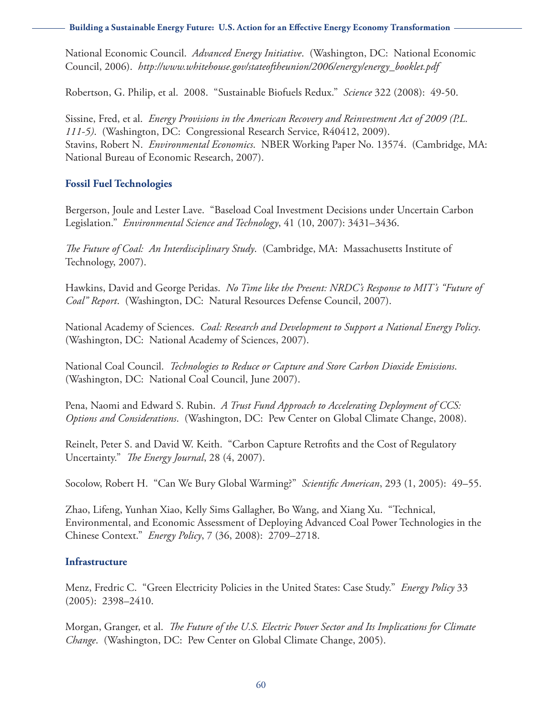**Building a Sustainable Energy Future: U.S. Action for an Effective Energy Economy Transformation**

National Economic Council. *Advanced Energy Initiative*. (Washington, DC: National Economic Council, 2006). *[http://www.whitehouse.gov/stateoftheunion/2006/energy/energy\\_booklet.pdf](http://www.whitehouse.gov/stateoftheunion/2006/energy/energy_booklet.pdf)*

Robertson, G. Philip, et al. 2008. "Sustainable Biofuels Redux." *Science* 322 (2008): 49-50.

Sissine, Fred, et al. *Energy Provisions in the American Recovery and Reinvestment Act of 2009 (P.L. 111-5)*. (Washington, DC: Congressional Research Service, R40412, 2009). Stavins, Robert N. *Environmental Economics*. NBER Working Paper No. 13574. (Cambridge, MA: National Bureau of Economic Research, 2007).

### **Fossil Fuel Technologies**

Bergerson, Joule and Lester Lave. "Baseload Coal Investment Decisions under Uncertain Carbon Legislation." *Environmental Science and Technology*, 41 (10, 2007): 3431–3436.

*The Future of Coal: An Interdisciplinary Study*. (Cambridge, MA: Massachusetts Institute of Technology, 2007).

Hawkins, David and George Peridas. *No Time like the Present: NRDC's Response to MIT's "Future of Coal" Report*. (Washington, DC: Natural Resources Defense Council, 2007).

National Academy of Sciences. *Coal: Research and Development to Support a National Energy Policy*. (Washington, DC: National Academy of Sciences, 2007).

National Coal Council. *Technologies to Reduce or Capture and Store Carbon Dioxide Emissions*. (Washington, DC: National Coal Council, June 2007).

Pena, Naomi and Edward S. Rubin. *A Trust Fund Approach to Accelerating Deployment of CCS: Options and Considerations*. (Washington, DC: Pew Center on Global Climate Change, 2008).

Reinelt, Peter S. and David W. Keith. "Carbon Capture Retrofits and the Cost of Regulatory Uncertainty." *The Energy Journal*, 28 (4, 2007).

Socolow, Robert H. "Can We Bury Global Warming?" *Scientific American*, 293 (1, 2005): 49–55.

Zhao, Lifeng, Yunhan Xiao, Kelly Sims Gallagher, Bo Wang, and Xiang Xu. "Technical, Environmental, and Economic Assessment of Deploying Advanced Coal Power Technologies in the Chinese Context." *Energy Policy*, 7 (36, 2008): 2709–2718.

### **Infrastructure**

Menz, Fredric C. "Green Electricity Policies in the United States: Case Study." *Energy Policy* 33 (2005): 2398–2410.

Morgan, Granger, et al. *The Future of the U.S. Electric Power Sector and Its Implications for Climate Change*. (Washington, DC: Pew Center on Global Climate Change, 2005).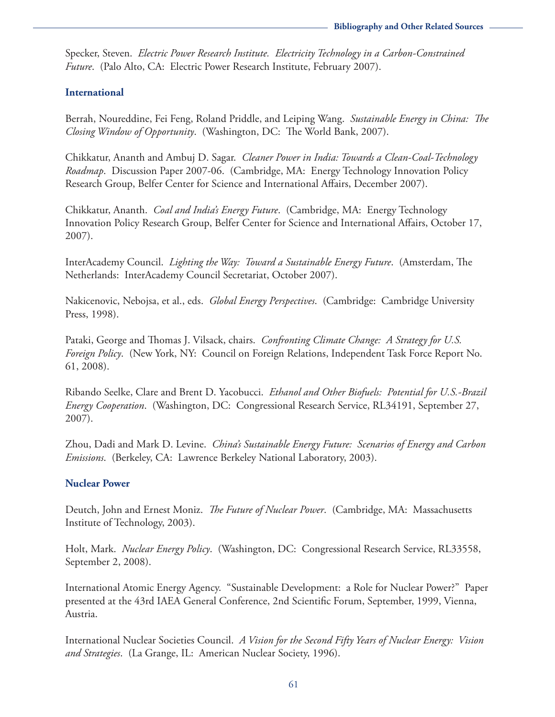Specker, Steven. *Electric Power Research Institute. Electricity Technology in a Carbon-Constrained Future*. (Palo Alto, CA: Electric Power Research Institute, February 2007).

#### **International**

Berrah, Noureddine, Fei Feng, Roland Priddle, and Leiping Wang. *Sustainable Energy in China: The Closing Window of Opportunity*. (Washington, DC: The World Bank, 2007).

Chikkatur, Ananth and Ambuj D. Sagar. *Cleaner Power in India: Towards a Clean-Coal-Technology Roadmap*. Discussion Paper 2007-06. (Cambridge, MA: Energy Technology Innovation Policy Research Group, Belfer Center for Science and International Affairs, December 2007).

Chikkatur, Ananth. *Coal and India's Energy Future*. (Cambridge, MA: Energy Technology Innovation Policy Research Group, Belfer Center for Science and International Affairs, October 17, 2007).

InterAcademy Council. *Lighting the Way: Toward a Sustainable Energy Future*. (Amsterdam, The Netherlands: InterAcademy Council Secretariat, October 2007).

Nakicenovic, Nebojsa, et al., eds. *Global Energy Perspectives*. (Cambridge: Cambridge University Press, 1998).

Pataki, George and Thomas J. Vilsack, chairs. *Confronting Climate Change: A Strategy for U.S. Foreign Policy*. (New York, NY: Council on Foreign Relations, Independent Task Force Report No. 61, 2008).

Ribando Seelke, Clare and Brent D. Yacobucci. *Ethanol and Other Biofuels: Potential for U.S.-Brazil Energy Cooperation*. (Washington, DC: Congressional Research Service, RL34191, September 27, 2007).

Zhou, Dadi and Mark D. Levine. *China's Sustainable Energy Future: Scenarios of Energy and Carbon Emissions*. (Berkeley, CA: Lawrence Berkeley National Laboratory, 2003).

#### **Nuclear Power**

Deutch, John and Ernest Moniz. *The Future of Nuclear Power*. (Cambridge, MA: Massachusetts Institute of Technology, 2003).

Holt, Mark. *Nuclear Energy Policy*. (Washington, DC: Congressional Research Service, RL33558, September 2, 2008).

International Atomic Energy Agency. "Sustainable Development: a Role for Nuclear Power?" Paper presented at the 43rd IAEA General Conference, 2nd Scientific Forum, September, 1999, Vienna, Austria.

International Nuclear Societies Council. *A Vision for the Second Fifty Years of Nuclear Energy: Vision and Strategies*. (La Grange, IL: American Nuclear Society, 1996).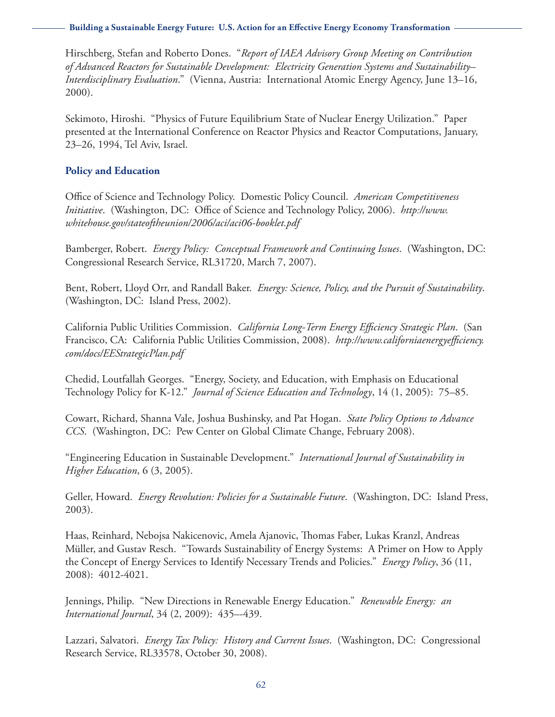**Building a Sustainable Energy Future: U.S. Action for an Effective Energy Economy Transformation**

Hirschberg, Stefan and Roberto Dones. "*Report of IAEA Advisory Group Meeting on Contribution of Advanced Reactors for Sustainable Development: Electricity Generation Systems and Sustainability– Interdisciplinary Evaluation*." (Vienna, Austria: International Atomic Energy Agency, June 13–16, 2000).

Sekimoto, Hiroshi. "Physics of Future Equilibrium State of Nuclear Energy Utilization." Paper presented at the International Conference on Reactor Physics and Reactor Computations, January, 23–26, 1994, Tel Aviv, Israel.

#### **Policy and Education**

Office of Science and Technology Policy. Domestic Policy Council. *American Competitiveness Initiative*. (Washington, DC: Office of Science and Technology Policy, 2006). *[http://www.](http://www.whitehouse.gov/stateoftheunion/2006/aci/aci06-booklet.pdf) [whitehouse.gov/stateoftheunion/2006/aci/aci06-booklet.pdf](http://www.whitehouse.gov/stateoftheunion/2006/aci/aci06-booklet.pdf)*

Bamberger, Robert. *Energy Policy: Conceptual Framework and Continuing Issues*. (Washington, DC: Congressional Research Service, RL31720, March 7, 2007).

Bent, Robert, Lloyd Orr, and Randall Baker. *Energy: Science, Policy, and the Pursuit of Sustainability*. (Washington, DC: Island Press, 2002).

California Public Utilities Commission. *California Long-Term Energy Efficiency Strategic Plan*. (San Francisco, CA: California Public Utilities Commission, 2008). *[http://www.californiaenergyefficiency.](http://www.californiaenergyefficiency.com/docs/EEStrategicPlan.pdf) [com/docs/EEStrategicPlan.pdf](http://www.californiaenergyefficiency.com/docs/EEStrategicPlan.pdf)*

Chedid, Loutfallah Georges. "Energy, Society, and Education, with Emphasis on Educational Technology Policy for K-12." *Journal of Science Education and Technology*, 14 (1, 2005): 75–85.

Cowart, Richard, Shanna Vale, Joshua Bushinsky, and Pat Hogan. *State Policy Options to Advance CCS*. (Washington, DC: Pew Center on Global Climate Change, February 2008).

"Engineering Education in Sustainable Development." *International Journal of Sustainability in Higher Education*, 6 (3, 2005).

Geller, Howard. *Energy Revolution: Policies for a Sustainable Future*. (Washington, DC: Island Press, 2003).

Haas, Reinhard, Nebojsa Nakicenovic, Amela Ajanovic, Thomas Faber, Lukas Kranzl, Andreas Müller, and Gustav Resch. "Towards Sustainability of Energy Systems: A Primer on How to Apply the Concept of Energy Services to Identify Necessary Trends and Policies." *Energy Policy*, 36 (11, 2008): 4012-4021.

Jennings, Philip. "New Directions in Renewable Energy Education." *Renewable Energy: an International Journal*, 34 (2, 2009): 435–-439.

Lazzari, Salvatori. *Energy Tax Policy: History and Current Issues*. (Washington, DC: Congressional Research Service, RL33578, October 30, 2008).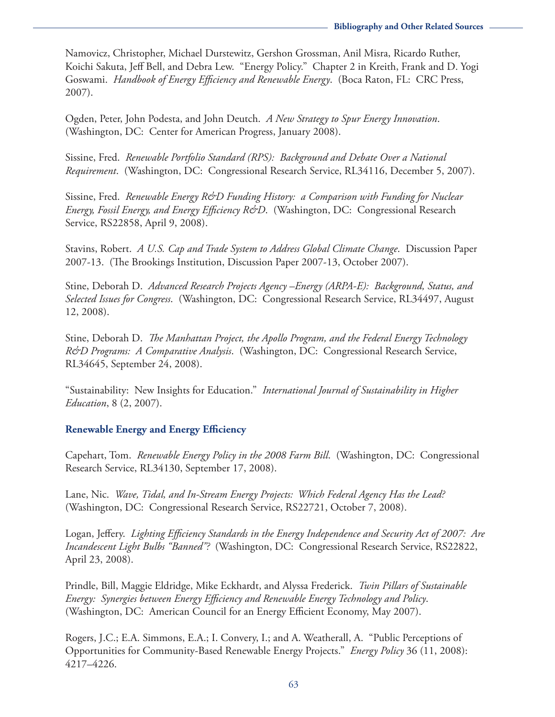Namovicz, Christopher, Michael Durstewitz, Gershon Grossman, Anil Misra, Ricardo Ruther, Koichi Sakuta, Jeff Bell, and Debra Lew. "Energy Policy." Chapter 2 in Kreith, Frank and D. Yogi Goswami. *Handbook of Energy Efficiency and Renewable Energy*. (Boca Raton, FL: CRC Press, 2007).

Ogden, Peter, John Podesta, and John Deutch. *A New Strategy to Spur Energy Innovation*. (Washington, DC: Center for American Progress, January 2008).

Sissine, Fred. *Renewable Portfolio Standard (RPS): Background and Debate Over a National Requirement*. (Washington, DC: Congressional Research Service, RL34116, December 5, 2007).

Sissine, Fred. *Renewable Energy R&D Funding History: a Comparison with Funding for Nuclear Energy, Fossil Energy, and Energy Efficiency R&D*. (Washington, DC: Congressional Research Service, RS22858, April 9, 2008).

Stavins, Robert. *A U.S. Cap and Trade System to Address Global Climate Change*. Discussion Paper 2007-13. (The Brookings Institution, Discussion Paper 2007-13, October 2007).

Stine, Deborah D. *Advanced Research Projects Agency –Energy (ARPA-E): Background, Status, and Selected Issues for Congress*. (Washington, DC: Congressional Research Service, RL34497, August 12, 2008).

Stine, Deborah D. *The Manhattan Project, the Apollo Program, and the Federal Energy Technology R&D Programs: A Comparative Analysis*. (Washington, DC: Congressional Research Service, RL34645, September 24, 2008).

"Sustainability: New Insights for Education." *International Journal of Sustainability in Higher Education*, 8 (2, 2007).

### **Renewable Energy and Energy Efficiency**

Capehart, Tom. *Renewable Energy Policy in the 2008 Farm Bill*. (Washington, DC: Congressional Research Service, RL34130, September 17, 2008).

Lane, Nic. *Wave, Tidal, and In-Stream Energy Projects: Which Federal Agency Has the Lead?* (Washington, DC: Congressional Research Service, RS22721, October 7, 2008).

Logan, Jeffery. *Lighting Efficiency Standards in the Energy Independence and Security Act of 2007: Are Incandescent Light Bulbs "Banned"?* (Washington, DC: Congressional Research Service, RS22822, April 23, 2008).

Prindle, Bill, Maggie Eldridge, Mike Eckhardt, and Alyssa Frederick. *Twin Pillars of Sustainable Energy: Synergies between Energy Efficiency and Renewable Energy Technology and Policy*. (Washington, DC: American Council for an Energy Efficient Economy, May 2007).

Rogers, J.C.; E.A. Simmons, E.A.; I. Convery, I.; and A. Weatherall, A. "Public Perceptions of Opportunities for Community-Based Renewable Energy Projects." *Energy Policy* 36 (11, 2008): 4217–4226.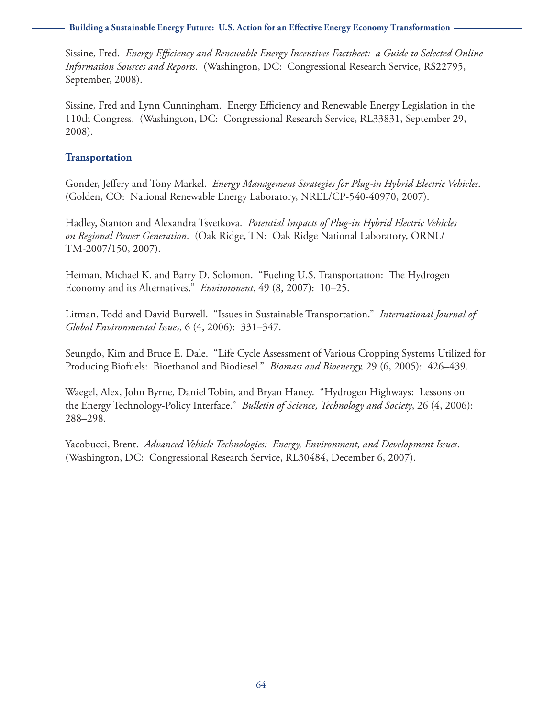**Building a Sustainable Energy Future: U.S. Action for an Effective Energy Economy Transformation**

Sissine, Fred. *Energy Efficiency and Renewable Energy Incentives Factsheet: a Guide to Selected Online Information Sources and Reports*. (Washington, DC: Congressional Research Service, RS22795, September, 2008).

Sissine, Fred and Lynn Cunningham. Energy Efficiency and Renewable Energy Legislation in the 110th Congress. (Washington, DC: Congressional Research Service, RL33831, September 29, 2008).

#### **Transportation**

Gonder, Jeffery and Tony Markel. *Energy Management Strategies for Plug-in Hybrid Electric Vehicles*. (Golden, CO: National Renewable Energy Laboratory, NREL/CP-540-40970, 2007).

Hadley, Stanton and Alexandra Tsvetkova. *Potential Impacts of Plug-in Hybrid Electric Vehicles on Regional Power Generation*. (Oak Ridge, TN: Oak Ridge National Laboratory, ORNL/ TM-2007/150, 2007).

Heiman, Michael K. and Barry D. Solomon. "Fueling U.S. Transportation: The Hydrogen Economy and its Alternatives." *Environment*, 49 (8, 2007): 10–25.

Litman, Todd and David Burwell. "Issues in Sustainable Transportation." *International Journal of Global Environmental Issues*, 6 (4, 2006): 331–347.

Seungdo, Kim and Bruce E. Dale. "Life Cycle Assessment of Various Cropping Systems Utilized for Producing Biofuels: Bioethanol and Biodiesel." *Biomass and Bioenergy,* 29 (6, 2005): 426–439.

Waegel, Alex, John Byrne, Daniel Tobin, and Bryan Haney. "Hydrogen Highways: Lessons on the Energy Technology-Policy Interface." *Bulletin of Science, Technology and Society*, 26 (4, 2006): 288–298.

Yacobucci, Brent. *Advanced Vehicle Technologies: Energy, Environment, and Development Issues*. (Washington, DC: Congressional Research Service, RL30484, December 6, 2007).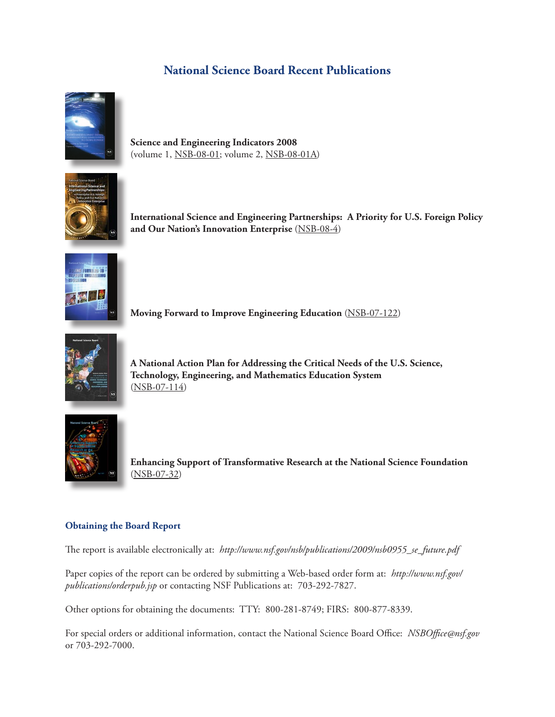## **National Science Board Recent Publications**



**Science and Engineering Indicators 2008** (volume 1, [NSB-08-01;](http://www.nsf.gov/statistics/seind08/) volume 2[, NSB-08-01A\)](http://www.nsf.gov/statistics/seind08/pdf_v2.htm)



**International Science and Engineering Partnerships: A Priority for U.S. Foreign Policy and Our Nation's Innovation Enterprise** ([NSB-08-4\)](http://www.nsf.gov/publications/pub_summ.jsp?ods_key=nsb084)



**Moving Forward to Improve Engineering Education** [\(NSB-07-122\)](http://www.nsf.gov/publications/pub_summ.jsp?ods_key=nsb07122)



**A National Action Plan for Addressing the Critical Needs of the U.S. Science, Technology, Engineering, and Mathematics Education System** [\(NSB-07-114\)](http://www.nsf.gov/publications/pub_summ.jsp?ods_key=nsb07114)



**Enhancing Support of Transformative Research at the National Science Foundation**  [\(NSB-07-32\)](http://www.nsf.gov/publications/pub_summ.jsp?ods_key=nsb0732)

#### **Obtaining the Board Report**

The report is available electronically at: *[http://www.nsf.gov/nsb/publications/2009/nsb0955\\_se\\_future.pdf](http://www.nsf.gov/nsb/publications/2009/nsb0955_se_future.pdf)*

Paper copies of the report can be ordered by submitting a Web-based order form at: *<http://www.nsf.gov/> publications/orderpub.jsp* or contacting NSF Publications at: 703-292-7827.

Other options for obtaining the documents: TTY: 800-281-8749; FIRS: 800-877-8339.

For special orders or additional information, contact the National Science Board Office: *[NSBOffice@nsf.gov](mailto:NSBOffice@nsf.gov)* or 703-292-7000.